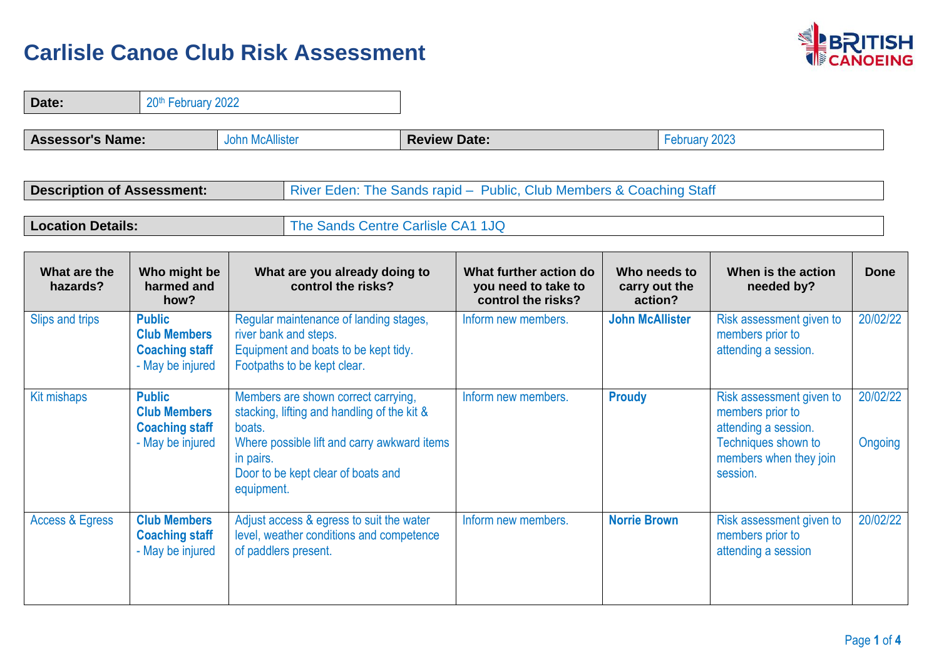

| Date:                             |                                                                                   | 20th February 2022                                                                                                                                                                                           |                                                                     |  |                                                                     |                                          |  |                                                                                                                                   |                     |
|-----------------------------------|-----------------------------------------------------------------------------------|--------------------------------------------------------------------------------------------------------------------------------------------------------------------------------------------------------------|---------------------------------------------------------------------|--|---------------------------------------------------------------------|------------------------------------------|--|-----------------------------------------------------------------------------------------------------------------------------------|---------------------|
| <b>Assessor's Name:</b>           |                                                                                   | <b>John McAllister</b>                                                                                                                                                                                       | <b>Review Date:</b>                                                 |  |                                                                     | February 2023                            |  |                                                                                                                                   |                     |
| <b>Description of Assessment:</b> |                                                                                   |                                                                                                                                                                                                              | River Eden: The Sands rapid - Public, Club Members & Coaching Staff |  |                                                                     |                                          |  |                                                                                                                                   |                     |
| <b>Location Details:</b>          |                                                                                   |                                                                                                                                                                                                              | The Sands Centre Carlisle CA1 1JQ                                   |  |                                                                     |                                          |  |                                                                                                                                   |                     |
| What are the<br>hazards?          | Who might be<br>harmed and<br>how?                                                |                                                                                                                                                                                                              | What are you already doing to<br>control the risks?                 |  | What further action do<br>you need to take to<br>control the risks? | Who needs to<br>carry out the<br>action? |  | When is the action<br>needed by?                                                                                                  | <b>Done</b>         |
| Slips and trips                   | <b>Public</b><br><b>Club Members</b><br><b>Coaching staff</b><br>- May be injured | Regular maintenance of landing stages,<br>river bank and steps.<br>Equipment and boats to be kept tidy.<br>Footpaths to be kept clear.                                                                       |                                                                     |  | Inform new members.                                                 | <b>John McAllister</b>                   |  | Risk assessment given to<br>members prior to<br>attending a session.                                                              | 20/02/22            |
| Kit mishaps                       | <b>Public</b><br><b>Club Members</b><br><b>Coaching staff</b><br>- May be injured | Members are shown correct carrying,<br>stacking, lifting and handling of the kit &<br>boats.<br>Where possible lift and carry awkward items<br>in pairs.<br>Door to be kept clear of boats and<br>equipment. |                                                                     |  | Inform new members.                                                 | <b>Proudy</b>                            |  | Risk assessment given to<br>members prior to<br>attending a session.<br>Techniques shown to<br>members when they join<br>session. | 20/02/22<br>Ongoing |
| <b>Access &amp; Egress</b>        | <b>Club Members</b><br><b>Coaching staff</b><br>- May be injured                  | Adjust access & egress to suit the water<br>level, weather conditions and competence<br>of paddlers present.                                                                                                 |                                                                     |  | Inform new members.                                                 | <b>Norrie Brown</b>                      |  | Risk assessment given to<br>members prior to<br>attending a session                                                               | 20/02/22            |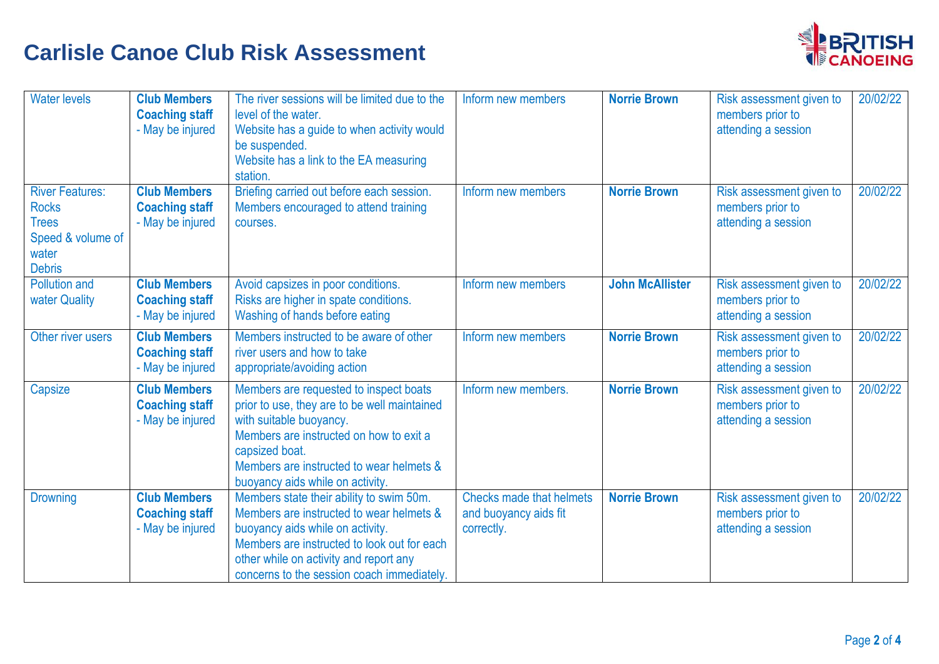

| <b>Water levels</b>                                                                                   | <b>Club Members</b><br><b>Coaching staff</b><br>- May be injured | The river sessions will be limited due to the<br>level of the water.<br>Website has a guide to when activity would<br>be suspended.<br>Website has a link to the EA measuring<br>station.                                                                       | Inform new members                                                     | <b>Norrie Brown</b>    | Risk assessment given to<br>members prior to<br>attending a session | 20/02/22 |
|-------------------------------------------------------------------------------------------------------|------------------------------------------------------------------|-----------------------------------------------------------------------------------------------------------------------------------------------------------------------------------------------------------------------------------------------------------------|------------------------------------------------------------------------|------------------------|---------------------------------------------------------------------|----------|
| <b>River Features:</b><br><b>Rocks</b><br><b>Trees</b><br>Speed & volume of<br>water<br><b>Debris</b> | <b>Club Members</b><br><b>Coaching staff</b><br>- May be injured | Briefing carried out before each session.<br>Members encouraged to attend training<br>courses.                                                                                                                                                                  | Inform new members                                                     | <b>Norrie Brown</b>    | Risk assessment given to<br>members prior to<br>attending a session | 20/02/22 |
| <b>Pollution and</b><br>water Quality                                                                 | <b>Club Members</b><br><b>Coaching staff</b><br>- May be injured | Avoid capsizes in poor conditions.<br>Risks are higher in spate conditions.<br>Washing of hands before eating                                                                                                                                                   | Inform new members                                                     | <b>John McAllister</b> | Risk assessment given to<br>members prior to<br>attending a session | 20/02/22 |
| Other river users                                                                                     | <b>Club Members</b><br><b>Coaching staff</b><br>- May be injured | Members instructed to be aware of other<br>river users and how to take<br>appropriate/avoiding action                                                                                                                                                           | Inform new members                                                     | <b>Norrie Brown</b>    | Risk assessment given to<br>members prior to<br>attending a session | 20/02/22 |
| Capsize                                                                                               | <b>Club Members</b><br><b>Coaching staff</b><br>- May be injured | Members are requested to inspect boats<br>prior to use, they are to be well maintained<br>with suitable buoyancy.<br>Members are instructed on how to exit a<br>capsized boat.<br>Members are instructed to wear helmets &<br>buoyancy aids while on activity.  | Inform new members.                                                    | <b>Norrie Brown</b>    | Risk assessment given to<br>members prior to<br>attending a session | 20/02/22 |
| <b>Drowning</b>                                                                                       | <b>Club Members</b><br><b>Coaching staff</b><br>- May be injured | Members state their ability to swim 50m.<br>Members are instructed to wear helmets &<br>buoyancy aids while on activity.<br>Members are instructed to look out for each<br>other while on activity and report any<br>concerns to the session coach immediately. | <b>Checks made that helmets</b><br>and buoyancy aids fit<br>correctly. | <b>Norrie Brown</b>    | Risk assessment given to<br>members prior to<br>attending a session | 20/02/22 |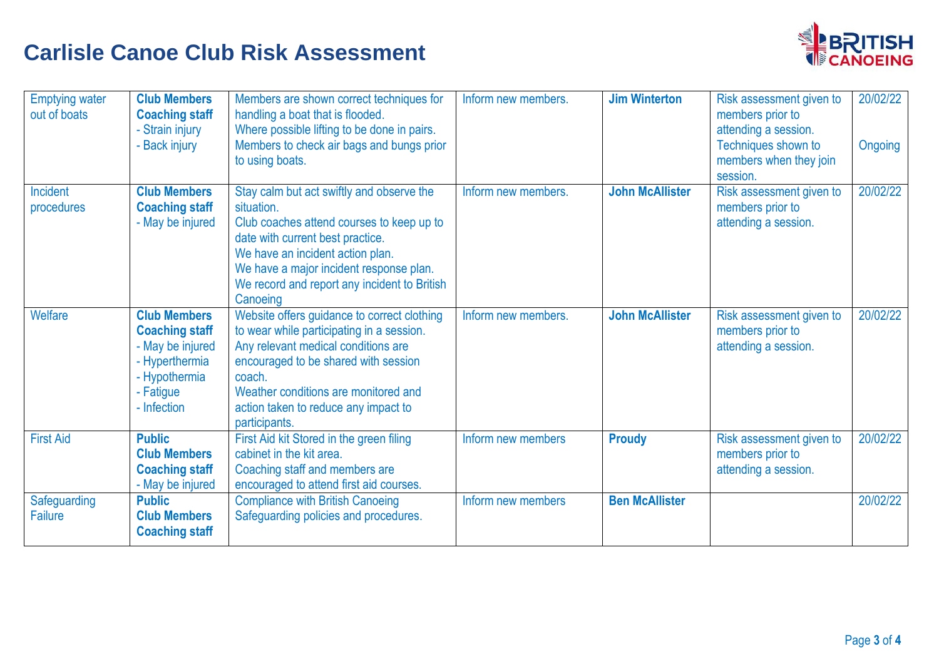

| <b>Emptying water</b><br>out of boats | <b>Club Members</b><br><b>Coaching staff</b><br>- Strain injury<br>- Back injury                                                | Members are shown correct techniques for<br>handling a boat that is flooded.<br>Where possible lifting to be done in pairs.<br>Members to check air bags and bungs prior<br>to using boats.                                                                                         | Inform new members. | <b>Jim Winterton</b>   | Risk assessment given to<br>members prior to<br>attending a session.<br>Techniques shown to<br>members when they join<br>session. | 20/02/22<br>Ongoing |
|---------------------------------------|---------------------------------------------------------------------------------------------------------------------------------|-------------------------------------------------------------------------------------------------------------------------------------------------------------------------------------------------------------------------------------------------------------------------------------|---------------------|------------------------|-----------------------------------------------------------------------------------------------------------------------------------|---------------------|
| Incident<br>procedures                | <b>Club Members</b><br><b>Coaching staff</b><br>- May be injured                                                                | Stay calm but act swiftly and observe the<br>situation.<br>Club coaches attend courses to keep up to<br>date with current best practice.<br>We have an incident action plan.<br>We have a major incident response plan.<br>We record and report any incident to British<br>Canoeing | Inform new members. | <b>John McAllister</b> | Risk assessment given to<br>members prior to<br>attending a session.                                                              | 20/02/22            |
| Welfare                               | <b>Club Members</b><br><b>Coaching staff</b><br>- May be injured<br>- Hyperthermia<br>- Hypothermia<br>- Fatigue<br>- Infection | Website offers guidance to correct clothing<br>to wear while participating in a session.<br>Any relevant medical conditions are<br>encouraged to be shared with session<br>coach.<br>Weather conditions are monitored and<br>action taken to reduce any impact to<br>participants.  | Inform new members. | <b>John McAllister</b> | Risk assessment given to<br>members prior to<br>attending a session.                                                              | 20/02/22            |
| <b>First Aid</b>                      | <b>Public</b><br><b>Club Members</b><br><b>Coaching staff</b><br>- May be injured                                               | First Aid kit Stored in the green filing<br>cabinet in the kit area.<br>Coaching staff and members are<br>encouraged to attend first aid courses.                                                                                                                                   | Inform new members  | <b>Proudy</b>          | Risk assessment given to<br>members prior to<br>attending a session.                                                              | 20/02/22            |
| Safeguarding<br>Failure               | <b>Public</b><br><b>Club Members</b><br><b>Coaching staff</b>                                                                   | <b>Compliance with British Canoeing</b><br>Safeguarding policies and procedures.                                                                                                                                                                                                    | Inform new members  | <b>Ben McAllister</b>  |                                                                                                                                   | 20/02/22            |